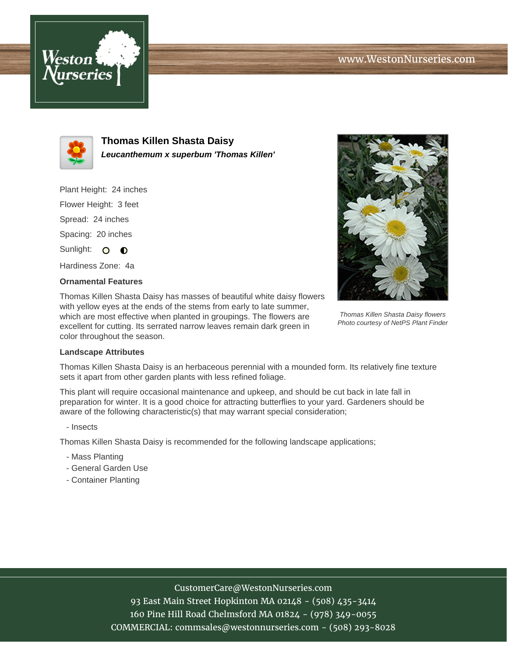



**Thomas Killen Shasta Daisy Leucanthemum x superbum 'Thomas Killen'**

Plant Height: 24 inches Flower Height: 3 feet Spread: 24 inches Spacing: 20 inches

Sunlight: O O

Hardiness Zone: 4a

## **Ornamental Features**

Thomas Killen Shasta Daisy has masses of beautiful white daisy flowers with yellow eyes at the ends of the stems from early to late summer, which are most effective when planted in groupings. The flowers are excellent for cutting. Its serrated narrow leaves remain dark green in color throughout the season.



Thomas Killen Shasta Daisy flowers Photo courtesy of NetPS Plant Finder

## **Landscape Attributes**

Thomas Killen Shasta Daisy is an herbaceous perennial with a mounded form. Its relatively fine texture sets it apart from other garden plants with less refined foliage.

This plant will require occasional maintenance and upkeep, and should be cut back in late fall in preparation for winter. It is a good choice for attracting butterflies to your yard. Gardeners should be aware of the following characteristic(s) that may warrant special consideration;

- Insects

Thomas Killen Shasta Daisy is recommended for the following landscape applications;

- Mass Planting
- General Garden Use
- Container Planting

## CustomerCare@WestonNurseries.com

93 East Main Street Hopkinton MA 02148 - (508) 435-3414 160 Pine Hill Road Chelmsford MA 01824 - (978) 349-0055 COMMERCIAL: commsales@westonnurseries.com - (508) 293-8028